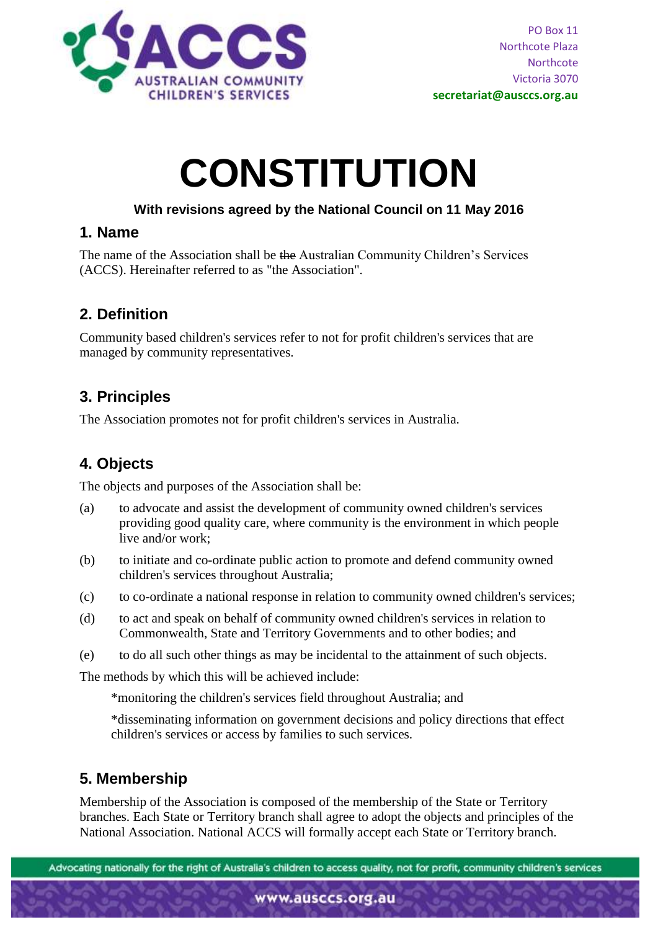

# **CONSTITUTION**

### **With revisions agreed by the National Council on 11 May 2016**

## **1. Name**

The name of the Association shall be the Australian Community Children's Services (ACCS). Hereinafter referred to as "the Association".

# **2. Definition**

Community based children's services refer to not for profit children's services that are managed by community representatives.

## **3. Principles**

The Association promotes not for profit children's services in Australia.

# **4. Objects**

The objects and purposes of the Association shall be:

- (a) to advocate and assist the development of community owned children's services providing good quality care, where community is the environment in which people live and/or work;
- (b) to initiate and co-ordinate public action to promote and defend community owned children's services throughout Australia;
- (c) to co-ordinate a national response in relation to community owned children's services;
- (d) to act and speak on behalf of community owned children's services in relation to Commonwealth, State and Territory Governments and to other bodies; and
- (e) to do all such other things as may be incidental to the attainment of such objects.

The methods by which this will be achieved include:

\*monitoring the children's services field throughout Australia; and

\*disseminating information on government decisions and policy directions that effect children's services or access by families to such services.

# **5. Membership**

Membership of the Association is composed of the membership of the State or Territory branches. Each State or Territory branch shall agree to adopt the objects and principles of the National Association. National ACCS will formally accept each State or Territory branch.

Advocating nationally for the right of Australia's children to access quality, not for profit, community children's services

www.ausccs.org.au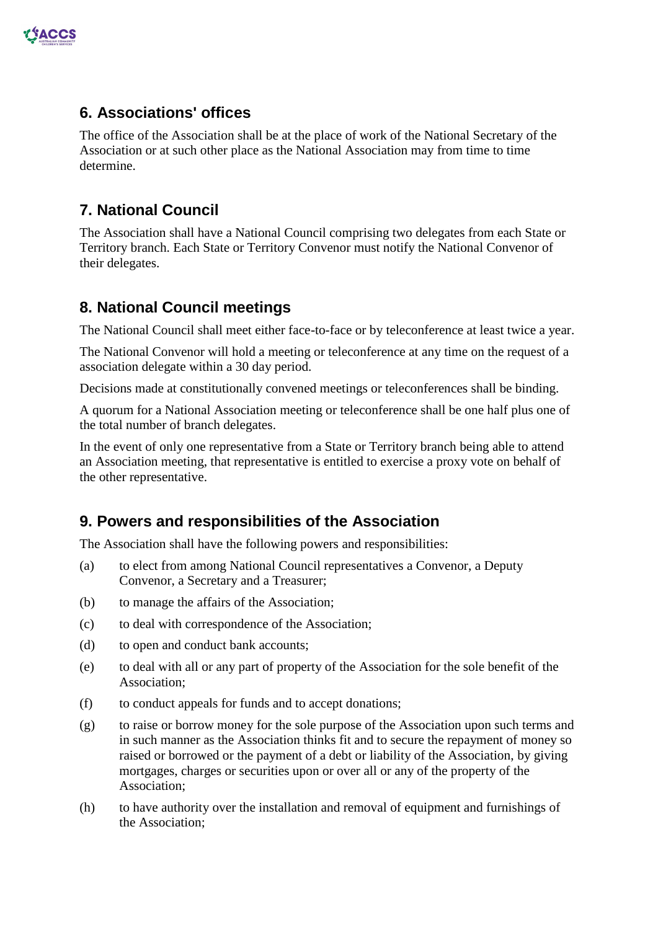

## **6. Associations' offices**

The office of the Association shall be at the place of work of the National Secretary of the Association or at such other place as the National Association may from time to time determine.

# **7. National Council**

The Association shall have a National Council comprising two delegates from each State or Territory branch. Each State or Territory Convenor must notify the National Convenor of their delegates.

## **8. National Council meetings**

The National Council shall meet either face-to-face or by teleconference at least twice a year.

The National Convenor will hold a meeting or teleconference at any time on the request of a association delegate within a 30 day period.

Decisions made at constitutionally convened meetings or teleconferences shall be binding.

A quorum for a National Association meeting or teleconference shall be one half plus one of the total number of branch delegates.

In the event of only one representative from a State or Territory branch being able to attend an Association meeting, that representative is entitled to exercise a proxy vote on behalf of the other representative.

# **9. Powers and responsibilities of the Association**

The Association shall have the following powers and responsibilities:

- (a) to elect from among National Council representatives a Convenor, a Deputy Convenor, a Secretary and a Treasurer;
- (b) to manage the affairs of the Association;
- (c) to deal with correspondence of the Association;
- (d) to open and conduct bank accounts;
- (e) to deal with all or any part of property of the Association for the sole benefit of the Association;
- (f) to conduct appeals for funds and to accept donations;
- (g) to raise or borrow money for the sole purpose of the Association upon such terms and in such manner as the Association thinks fit and to secure the repayment of money so raised or borrowed or the payment of a debt or liability of the Association, by giving mortgages, charges or securities upon or over all or any of the property of the Association;
- (h) to have authority over the installation and removal of equipment and furnishings of the Association;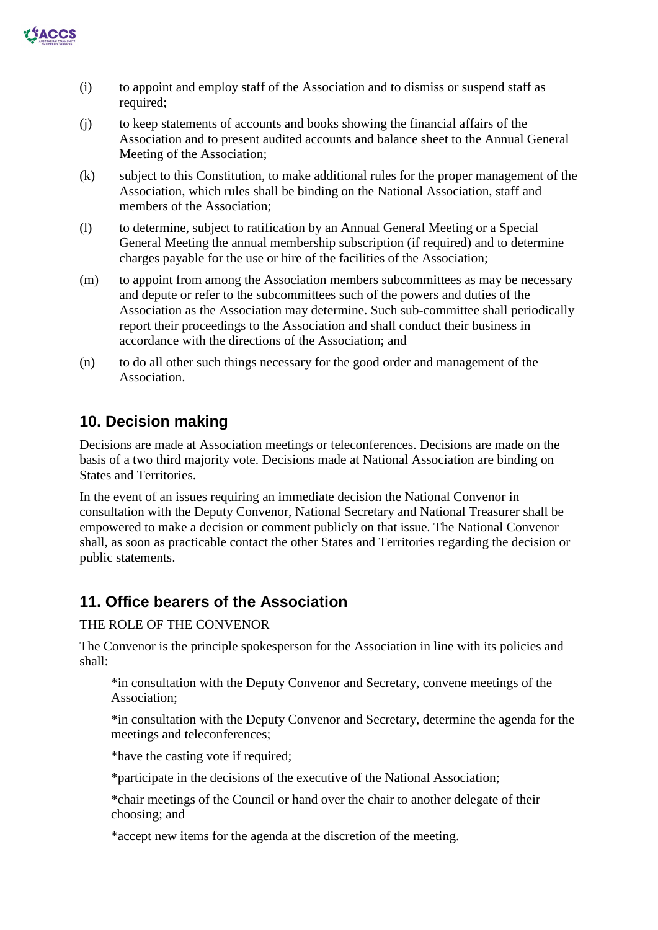

- (i) to appoint and employ staff of the Association and to dismiss or suspend staff as required;
- (j) to keep statements of accounts and books showing the financial affairs of the Association and to present audited accounts and balance sheet to the Annual General Meeting of the Association;
- (k) subject to this Constitution, to make additional rules for the proper management of the Association, which rules shall be binding on the National Association, staff and members of the Association;
- (l) to determine, subject to ratification by an Annual General Meeting or a Special General Meeting the annual membership subscription (if required) and to determine charges payable for the use or hire of the facilities of the Association;
- (m) to appoint from among the Association members subcommittees as may be necessary and depute or refer to the subcommittees such of the powers and duties of the Association as the Association may determine. Such sub-committee shall periodically report their proceedings to the Association and shall conduct their business in accordance with the directions of the Association; and
- (n) to do all other such things necessary for the good order and management of the Association.

## **10. Decision making**

Decisions are made at Association meetings or teleconferences. Decisions are made on the basis of a two third majority vote. Decisions made at National Association are binding on States and Territories.

In the event of an issues requiring an immediate decision the National Convenor in consultation with the Deputy Convenor, National Secretary and National Treasurer shall be empowered to make a decision or comment publicly on that issue. The National Convenor shall, as soon as practicable contact the other States and Territories regarding the decision or public statements.

## **11. Office bearers of the Association**

#### THE ROLE OF THE CONVENOR

The Convenor is the principle spokesperson for the Association in line with its policies and shall:

\*in consultation with the Deputy Convenor and Secretary, convene meetings of the Association;

\*in consultation with the Deputy Convenor and Secretary, determine the agenda for the meetings and teleconferences;

\*have the casting vote if required;

\*participate in the decisions of the executive of the National Association;

\*chair meetings of the Council or hand over the chair to another delegate of their choosing; and

\*accept new items for the agenda at the discretion of the meeting.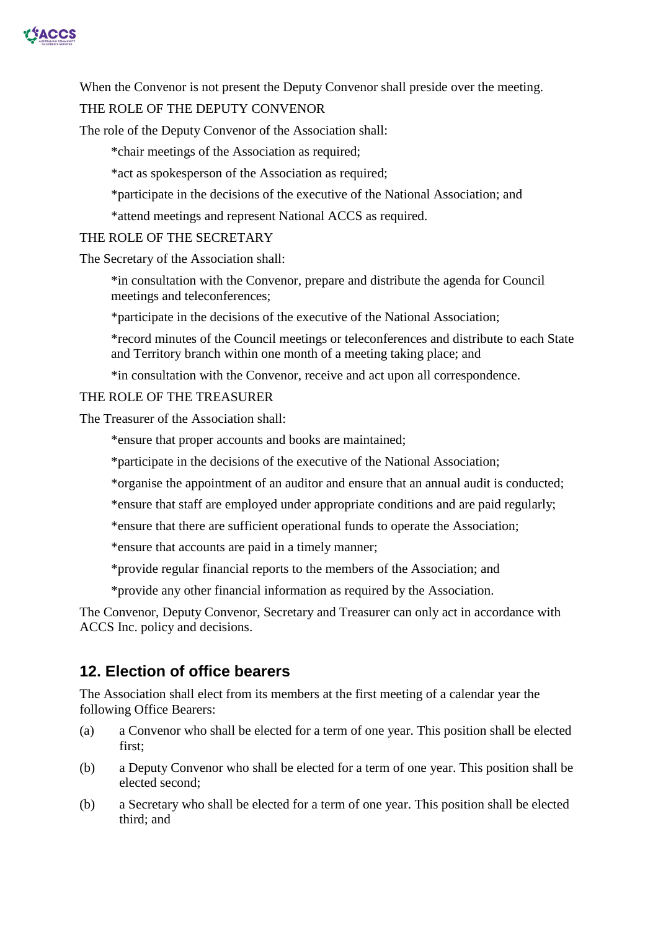

When the Convenor is not present the Deputy Convenor shall preside over the meeting.

#### THE ROLE OF THE DEPUTY CONVENOR

The role of the Deputy Convenor of the Association shall:

\*chair meetings of the Association as required;

\*act as spokesperson of the Association as required;

\*participate in the decisions of the executive of the National Association; and

\*attend meetings and represent National ACCS as required.

THE ROLE OF THE SECRETARY

The Secretary of the Association shall:

\*in consultation with the Convenor, prepare and distribute the agenda for Council meetings and teleconferences;

\*participate in the decisions of the executive of the National Association;

\*record minutes of the Council meetings or teleconferences and distribute to each State and Territory branch within one month of a meeting taking place; and

\*in consultation with the Convenor, receive and act upon all correspondence.

THE ROLE OF THE TREASURER

The Treasurer of the Association shall:

\*ensure that proper accounts and books are maintained;

\*participate in the decisions of the executive of the National Association;

\*organise the appointment of an auditor and ensure that an annual audit is conducted;

\*ensure that staff are employed under appropriate conditions and are paid regularly;

\*ensure that there are sufficient operational funds to operate the Association;

\*ensure that accounts are paid in a timely manner;

\*provide regular financial reports to the members of the Association; and

\*provide any other financial information as required by the Association.

The Convenor, Deputy Convenor, Secretary and Treasurer can only act in accordance with ACCS Inc. policy and decisions.

## **12. Election of office bearers**

The Association shall elect from its members at the first meeting of a calendar year the following Office Bearers:

- (a) a Convenor who shall be elected for a term of one year. This position shall be elected first;
- (b) a Deputy Convenor who shall be elected for a term of one year. This position shall be elected second;
- (b) a Secretary who shall be elected for a term of one year. This position shall be elected third; and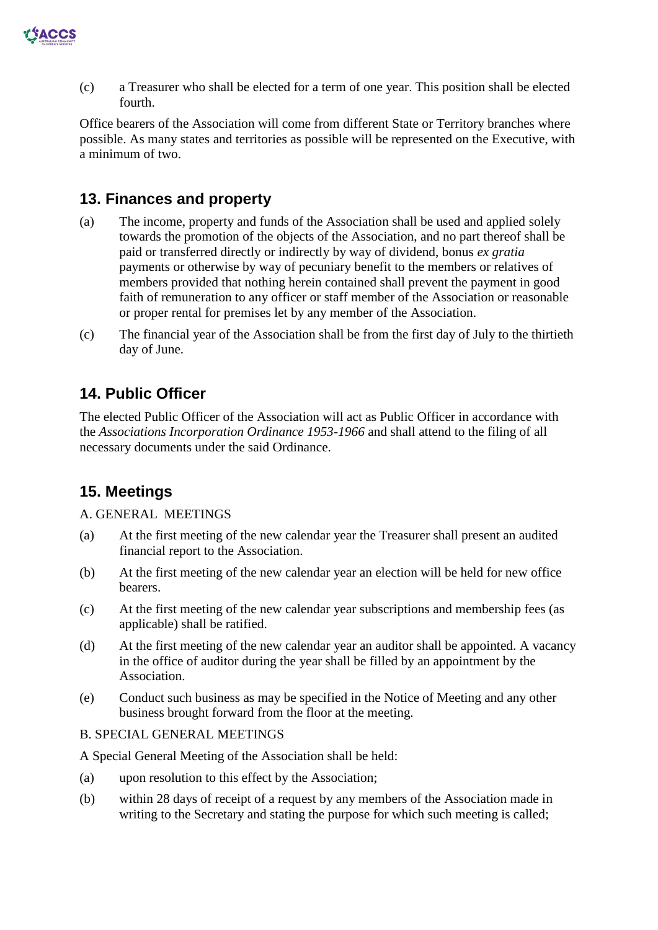

(c) a Treasurer who shall be elected for a term of one year. This position shall be elected fourth.

Office bearers of the Association will come from different State or Territory branches where possible. As many states and territories as possible will be represented on the Executive, with a minimum of two.

## **13. Finances and property**

- (a) The income, property and funds of the Association shall be used and applied solely towards the promotion of the objects of the Association, and no part thereof shall be paid or transferred directly or indirectly by way of dividend, bonus *ex gratia*  payments or otherwise by way of pecuniary benefit to the members or relatives of members provided that nothing herein contained shall prevent the payment in good faith of remuneration to any officer or staff member of the Association or reasonable or proper rental for premises let by any member of the Association.
- (c) The financial year of the Association shall be from the first day of July to the thirtieth day of June.

## **14. Public Officer**

The elected Public Officer of the Association will act as Public Officer in accordance with the *Associations Incorporation Ordinance 1953-1966* and shall attend to the filing of all necessary documents under the said Ordinance.

## **15. Meetings**

#### A. GENERAL MEETINGS

- (a) At the first meeting of the new calendar year the Treasurer shall present an audited financial report to the Association.
- (b) At the first meeting of the new calendar year an election will be held for new office bearers.
- (c) At the first meeting of the new calendar year subscriptions and membership fees (as applicable) shall be ratified.
- (d) At the first meeting of the new calendar year an auditor shall be appointed. A vacancy in the office of auditor during the year shall be filled by an appointment by the Association.
- (e) Conduct such business as may be specified in the Notice of Meeting and any other business brought forward from the floor at the meeting.

#### B. SPECIAL GENERAL MEETINGS

A Special General Meeting of the Association shall be held:

- (a) upon resolution to this effect by the Association;
- (b) within 28 days of receipt of a request by any members of the Association made in writing to the Secretary and stating the purpose for which such meeting is called;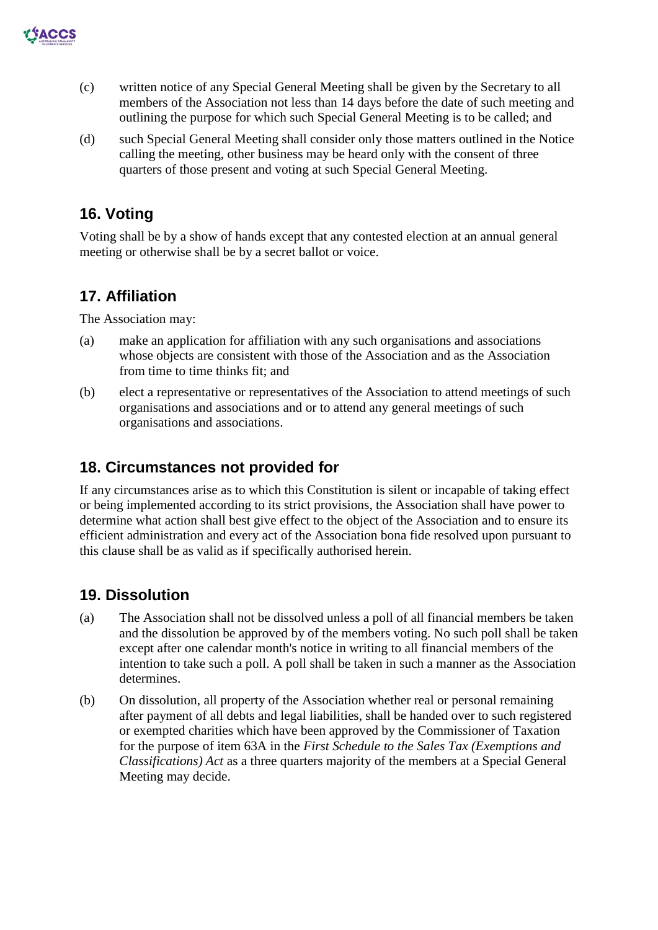

- (c) written notice of any Special General Meeting shall be given by the Secretary to all members of the Association not less than 14 days before the date of such meeting and outlining the purpose for which such Special General Meeting is to be called; and
- (d) such Special General Meeting shall consider only those matters outlined in the Notice calling the meeting, other business may be heard only with the consent of three quarters of those present and voting at such Special General Meeting.

# **16. Voting**

Voting shall be by a show of hands except that any contested election at an annual general meeting or otherwise shall be by a secret ballot or voice.

## **17. Affiliation**

The Association may:

- (a) make an application for affiliation with any such organisations and associations whose objects are consistent with those of the Association and as the Association from time to time thinks fit; and
- (b) elect a representative or representatives of the Association to attend meetings of such organisations and associations and or to attend any general meetings of such organisations and associations.

## **18. Circumstances not provided for**

If any circumstances arise as to which this Constitution is silent or incapable of taking effect or being implemented according to its strict provisions, the Association shall have power to determine what action shall best give effect to the object of the Association and to ensure its efficient administration and every act of the Association bona fide resolved upon pursuant to this clause shall be as valid as if specifically authorised herein.

## **19. Dissolution**

- (a) The Association shall not be dissolved unless a poll of all financial members be taken and the dissolution be approved by of the members voting. No such poll shall be taken except after one calendar month's notice in writing to all financial members of the intention to take such a poll. A poll shall be taken in such a manner as the Association determines.
- (b) On dissolution, all property of the Association whether real or personal remaining after payment of all debts and legal liabilities, shall be handed over to such registered or exempted charities which have been approved by the Commissioner of Taxation for the purpose of item 63A in the *First Schedule to the Sales Tax (Exemptions and Classifications) Act* as a three quarters majority of the members at a Special General Meeting may decide.